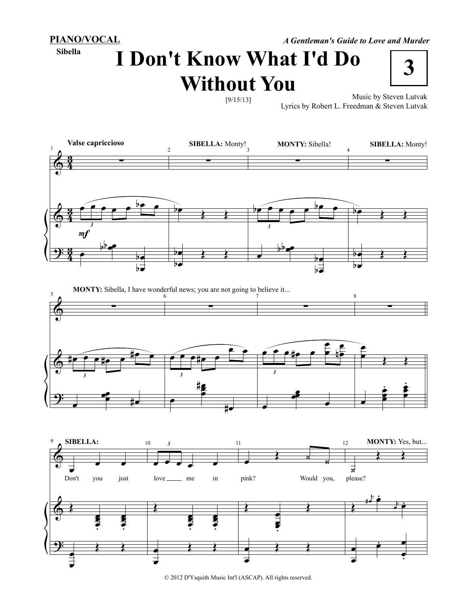**PIANO/VOCAL**

**Sibella**

*A Gentleman's Guide to Love and Murder*

**I Don't Know What I'd Do Without You**



Music by Steven Lutvak Lyrics by Robert L. Freedman & Steven Lutvak



**MONTY:** Sibella, I have wonderful news; you are not going to believe it...





© 2012 D'Ysquith Music Int'l (ASCAP). All rights reserved.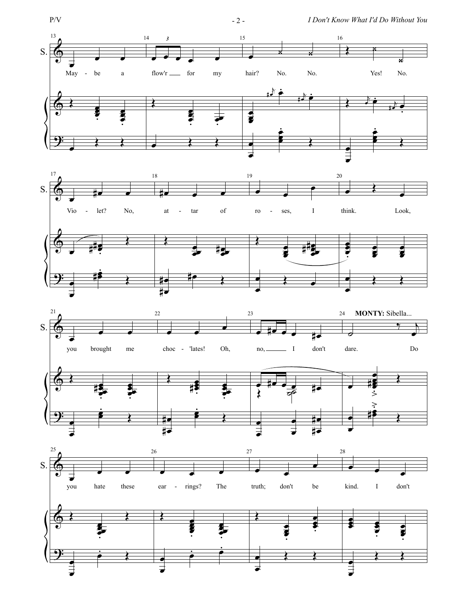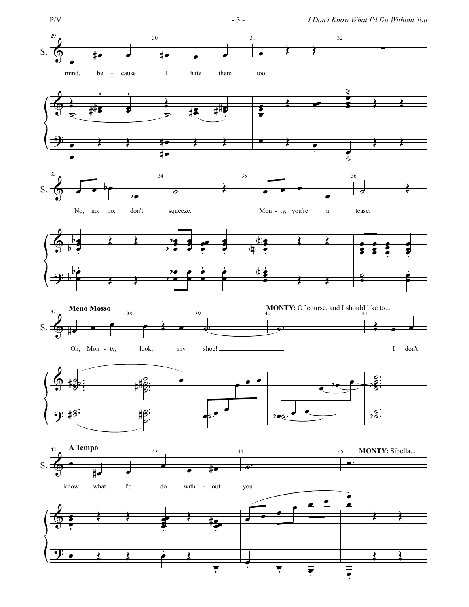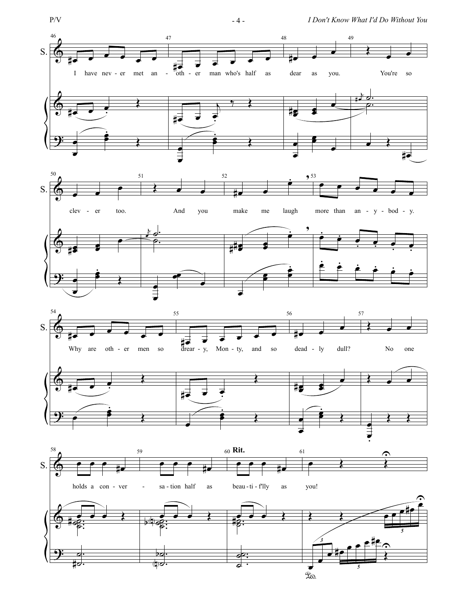$$
P/V
$$

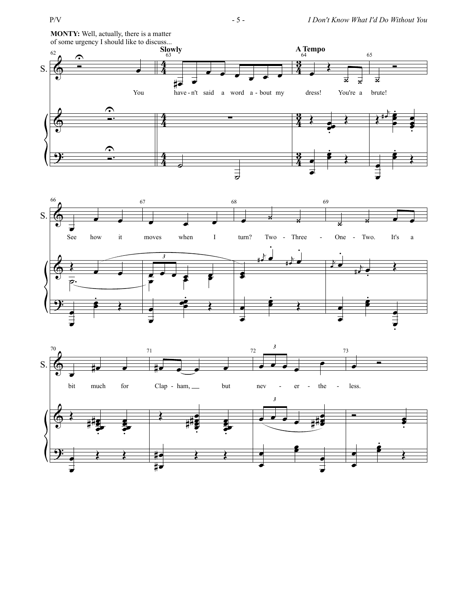

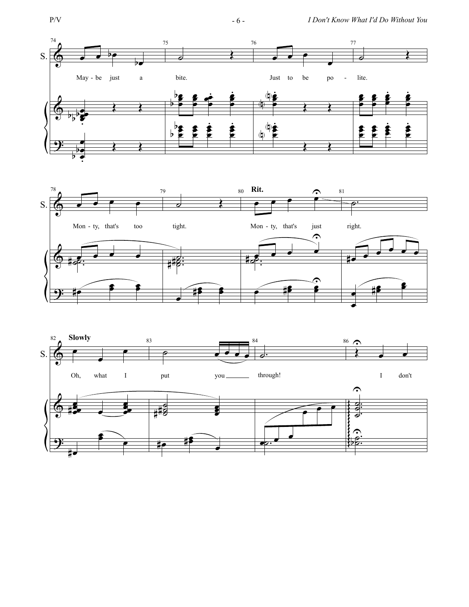



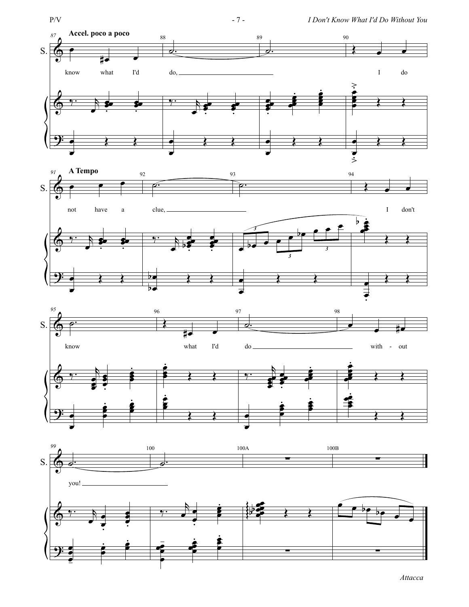

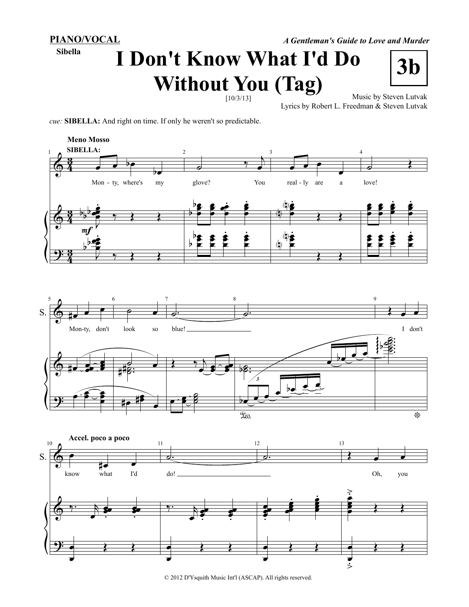**PIANO/VOCAL**

**Sibella**

## **I Don't Know What I'd Do**  ${\bf Without\, you\ (Tag) \atop \frac{[10/3/13]}{2}} \quad \frac{[100]^{2}}{[100]^{2}}$ *A Gentleman's Guide to Love and Murder*



Lyrics by Robert L. Freedman & Steven Lutvak

*cue:* **SIBELLA:** And right on time. If only he weren't so predictable.



© 2012 D'Ysquith Music Int'l (ASCAP). All rights reserved.